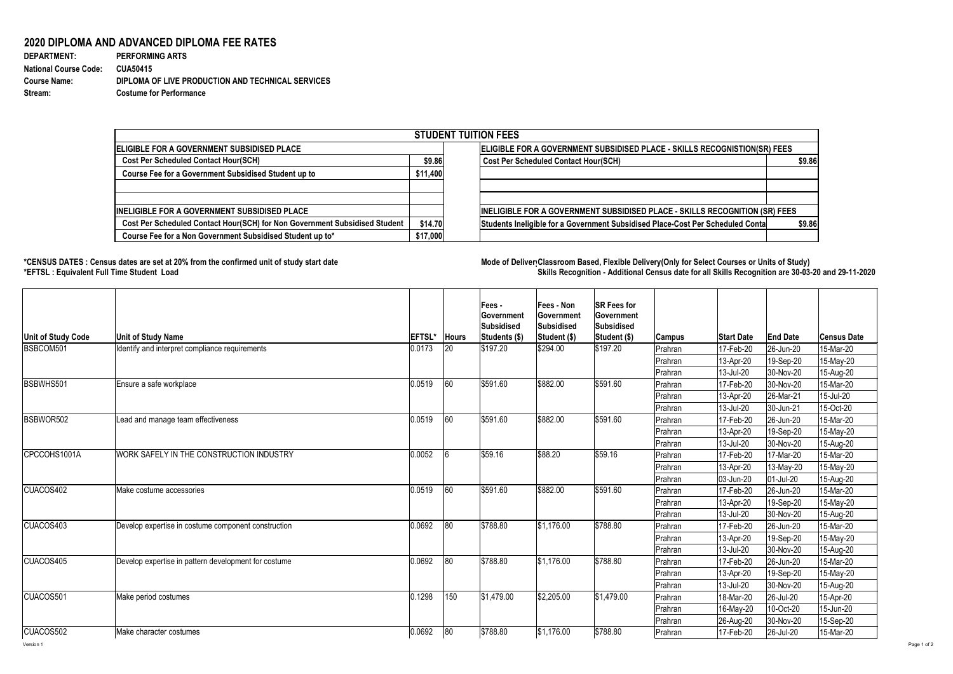Version 1 Page 1 of 2

## **2020 DIPLOMA AND ADVANCED DIPLOMA FEE RATES**

| <b>DEPARTMENT:</b>           | <b>PERFORMING ARTS</b>                            |
|------------------------------|---------------------------------------------------|
| <b>National Course Code:</b> | CUA50415                                          |
| <b>Course Name:</b>          | DIPLOMA OF LIVE PRODUCTION AND TECHNICAL SERVICES |
| Stream:                      | <b>Costume for Performance</b>                    |

## **\*CENSUS DATES : Census dates are set at 20% from the confirmed unit of study start date Mode of DeliveryClassroom Based, Flexible Delivery(Only for Select Courses or Units of Study) \*EFTSL : Equivalent Full Time Student Load Skills Recognition - Additional Census date for all Skills Recognition are 30-03-20 and 29-11-2020**



| <b>STUDENT TUITION FEES</b>                                                |          |                                                                                |        |  |  |  |  |  |
|----------------------------------------------------------------------------|----------|--------------------------------------------------------------------------------|--------|--|--|--|--|--|
| <b>IELIGIBLE FOR A GOVERNMENT SUBSIDISED PLACE</b>                         |          | ELIGIBLE FOR A GOVERNMENT SUBSIDISED PLACE - SKILLS RECOGNISTION(SR) FEES      |        |  |  |  |  |  |
| <b>Cost Per Scheduled Contact Hour(SCH)</b>                                |          | \$9.86<br><b>Cost Per Scheduled Contact Hour(SCH)</b>                          | \$9.86 |  |  |  |  |  |
| Course Fee for a Government Subsidised Student up to                       | \$11,400 |                                                                                |        |  |  |  |  |  |
|                                                                            |          |                                                                                |        |  |  |  |  |  |
| IINELIGIBLE FOR A GOVERNMENT SUBSIDISED PLACE                              |          | INELIGIBLE FOR A GOVERNMENT SUBSIDISED PLACE - SKILLS RECOGNITION (SR) FEES    |        |  |  |  |  |  |
| Cost Per Scheduled Contact Hour(SCH) for Non Government Subsidised Student | \$14.70  | Students Ineligible for a Government Subsidised Place-Cost Per Scheduled Conta | \$9.86 |  |  |  |  |  |
| Course Fee for a Non Government Subsidised Student up to*                  | \$17,000 |                                                                                |        |  |  |  |  |  |

| Unit of Study Code | <b>Unit of Study Name</b>                            | <b>EFTSL*</b> | <b>Hours</b> | Fees -<br><b>Government</b><br><b>Subsidised</b><br><b>Students (\$)</b> | <b>Fees - Non</b><br><b>Government</b><br>Subsidised<br>Student (\$) | <b>SR Fees for</b><br><b>Government</b><br><b>Subsidised</b><br>Student (\$) | <b>Campus</b>  | <b>Start Date</b>        | <b>End Date</b>   | <b>Census Date</b> |
|--------------------|------------------------------------------------------|---------------|--------------|--------------------------------------------------------------------------|----------------------------------------------------------------------|------------------------------------------------------------------------------|----------------|--------------------------|-------------------|--------------------|
| BSBCOM501          | Identify and interpret compliance requirements       | 0.0173        | 20           | \$197.20                                                                 | \$294.00                                                             | \$197.20                                                                     | Prahran        | 17-Feb-20                | 26-Jun-20         | 15-Mar-20          |
|                    |                                                      |               |              |                                                                          |                                                                      |                                                                              | Prahran        | 13-Apr-20                | 19-Sep-20         | 15-May-20          |
|                    |                                                      |               |              |                                                                          |                                                                      |                                                                              | Prahran        | 13-Jul-20                | 30-Nov-20         | 15-Aug-20          |
| BSBWHS501          | Ensure a safe workplace                              | 0.0519        | 60           | \$591.60                                                                 | \$882.00                                                             | \$591.60                                                                     | Prahran        | 17-Feb-20                | 30-Nov-20         | 15-Mar-20          |
|                    |                                                      |               |              |                                                                          |                                                                      |                                                                              | Prahran        | $ 13 - Apr-20 $          | $ 26$ -Mar-21     | 15-Jul-20          |
|                    |                                                      |               |              |                                                                          |                                                                      |                                                                              | Prahran        | 13-Jul-20                | 30-Jun-21         | 15-Oct-20          |
| BSBWOR502          | Lead and manage team effectiveness                   | 0.0519        | 60           | \$591.60                                                                 | \$882.00                                                             | \$591.60                                                                     | Prahran        | 17-Feb-20                | 26-Jun-20         | 15-Mar-20          |
|                    |                                                      |               |              |                                                                          |                                                                      |                                                                              | Prahran        | 13-Apr-20                | 19-Sep-20         | 15-May-20          |
|                    |                                                      |               |              |                                                                          |                                                                      |                                                                              | <b>Prahran</b> | 13-Jul-20                | 30-Nov-20         | 15-Aug-20          |
| CPCCOHS1001A       | WORK SAFELY IN THE CONSTRUCTION INDUSTRY             | 0.0052        |              | \$59.16                                                                  | \$88.20                                                              | \$59.16                                                                      | <b>Prahran</b> | 17-Feb-20                | 17-Mar-20         | 15-Mar-20          |
|                    |                                                      |               |              |                                                                          |                                                                      |                                                                              | Prahran        | $ 13 - Apr - 20 $        | $13$ -May-20      | 15-May-20          |
|                    |                                                      |               |              |                                                                          |                                                                      |                                                                              | Prahran        | $ 03 - Jun - 20 $        | $ 01 - Ju - 20 $  | 15-Aug-20          |
| <b>CUACOS402</b>   | Make costume accessories                             | 0.0519        | 60           | \$591.60                                                                 | \$882.00                                                             | \$591.60                                                                     | Prahran        | 17-Feb-20                | 26-Jun-20         | 15-Mar-20          |
|                    |                                                      |               |              |                                                                          |                                                                      |                                                                              | Prahran        | $ 13 - Apr - 20 $        | 19-Sep-20         | $15$ -May-20       |
|                    |                                                      |               |              |                                                                          |                                                                      |                                                                              | Prahran        | 13-Jul-20                | 30-Nov-20         | 15-Aug-20          |
| ICUACOS403         | Develop expertise in costume component construction  | 0.0692        | 80           | \$788.80                                                                 | $\frac{1}{31,176.00}$                                                | \$788.80                                                                     | Prahran        | 17-Feb-20                | 26-Jun-20         | 15-Mar-20          |
|                    |                                                      |               |              |                                                                          |                                                                      |                                                                              | Prahran        | 13-Apr-20                | 19-Sep-20         | 15-May-20          |
|                    |                                                      |               |              |                                                                          |                                                                      |                                                                              | Prahran        | 13-Jul-20                | 30-Nov-20         | 15-Aug-20          |
| CUACOS405          | Develop expertise in pattern development for costume | 0.0692        | 80           | \$788.80                                                                 | \$1,176.00                                                           | \$788.80                                                                     | Prahran        | 17-Feb-20                | 26-Jun-20         | 15-Mar-20          |
|                    |                                                      |               |              |                                                                          |                                                                      |                                                                              | Prahran        | 13-Apr-20                | 19-Sep-20         | 15-May-20          |
|                    |                                                      |               |              |                                                                          |                                                                      |                                                                              | Prahran        | 13-Jul-20                | 30-Nov-20         | 15-Aug-20          |
| CUACOS501          | Make period costumes                                 | 0.1298        | 150          | \$1,479.00                                                               | \$2,205.00                                                           | \$1,479.00                                                                   | Prahran        | 18-Mar-20                | $ 26 -$ Jul-20    | 15-Apr-20          |
|                    |                                                      |               |              |                                                                          |                                                                      |                                                                              | Prahran        | 16-May-20                | 10-Oct-20         | 15-Jun-20          |
|                    |                                                      |               |              |                                                                          |                                                                      |                                                                              | Prahran        | 26-Aug-20                | 30-Nov-20         | 15-Sep-20          |
| CUACOS502          | Make character costumes                              | 0.0692        | 80           | \$788.80                                                                 | \$1,176.00                                                           | \$788.80                                                                     | Prahran        | $ 17 - \text{Feb} - 20 $ | $ 26 -$ Jul $-20$ | 15-Mar-20          |